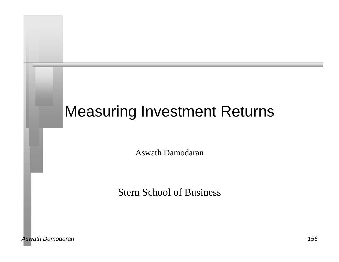# Measuring Investment Returns

Aswath Damodaran

Stern School of Business

*Aswath Damodaran 156*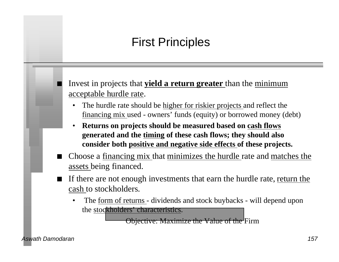### First Principles

n Invest in projects that **yield a return greater** than the minimum acceptable hurdle rate.

- The hurdle rate should be higher for riskier projects and reflect the financing mix used - owners' funds (equity) or borrowed money (debt)
- **Returns on projects should be measured based on cash flows generated and the timing of these cash flows; they should also consider both positive and negative side effects of these projects.**
- n Choose a financing mix that minimizes the hurdle rate and matches the assets being financed.
- If there are not enough investments that earn the hurdle rate, return the cash to stockholders.
	- The form of returns dividends and stock buybacks will depend upon the stockholders' characteristics.

Objective: Maximize the Value of the Firm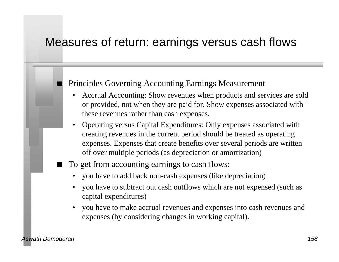#### Measures of return: earnings versus cash flows

#### Principles Governing Accounting Earnings Measurement

- Accrual Accounting: Show revenues when products and services are sold or provided, not when they are paid for. Show expenses associated with these revenues rather than cash expenses.
- Operating versus Capital Expenditures: Only expenses associated with creating revenues in the current period should be treated as operating expenses. Expenses that create benefits over several periods are written off over multiple periods (as depreciation or amortization)
- To get from accounting earnings to cash flows:
	- you have to add back non-cash expenses (like depreciation)
	- you have to subtract out cash outflows which are not expensed (such as capital expenditures)
	- you have to make accrual revenues and expenses into cash revenues and expenses (by considering changes in working capital).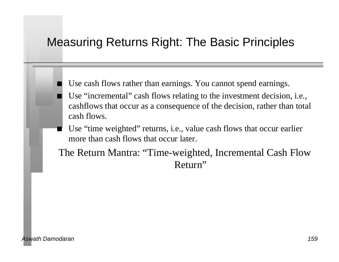### Measuring Returns Right: The Basic Principles

- Use cash flows rather than earnings. You cannot spend earnings.
- Use "incremental" cash flows relating to the investment decision, i.e., cashflows that occur as a consequence of the decision, rather than total cash flows.
- Use "time weighted" returns, i.e., value cash flows that occur earlier more than cash flows that occur later.
- The Return Mantra: "Time-weighted, Incremental Cash Flow Return"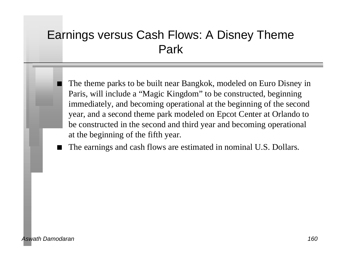### Earnings versus Cash Flows: A Disney Theme Park

The theme parks to be built near Bangkok, modeled on Euro Disney in Paris, will include a "Magic Kingdom" to be constructed, beginning immediately, and becoming operational at the beginning of the second year, and a second theme park modeled on Epcot Center at Orlando to be constructed in the second and third year and becoming operational at the beginning of the fifth year.

The earnings and cash flows are estimated in nominal U.S. Dollars.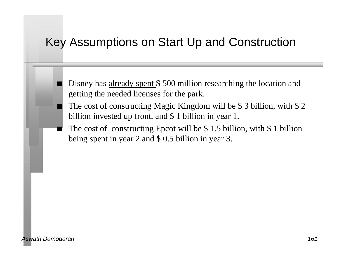### Key Assumptions on Start Up and Construction

- Disney has already spent \$500 million researching the location and getting the needed licenses for the park.
- The cost of constructing Magic Kingdom will be \$ 3 billion, with  $$ 2$ billion invested up front, and \$ 1 billion in year 1.
- The cost of constructing Epcot will be  $$ 1.5$  billion, with  $$ 1$  billion being spent in year 2 and \$ 0.5 billion in year 3.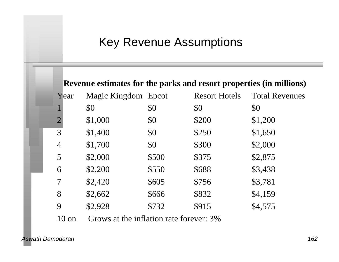### Key Revenue Assumptions

| \$1,000 | \$0<br>\$0 | \$0   | \$0     |
|---------|------------|-------|---------|
|         |            |       |         |
|         |            | \$200 | \$1,200 |
| \$1,400 | \$0        | \$250 | \$1,650 |
| \$1,700 | \$0        | \$300 | \$2,000 |
| \$2,000 | \$500      | \$375 | \$2,875 |
| \$2,200 | \$550      | \$688 | \$3,438 |
| \$2,420 | \$605      | \$756 | \$3,781 |
| \$2,662 | \$666      | \$832 | \$4,159 |
| \$2,928 | \$732      | \$915 | \$4,575 |
|         |            |       |         |

10 on Grows at the inflation rate forever: 3%

*Aswath Damodaran 162*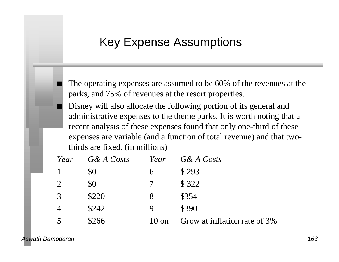### Key Expense Assumptions

The operating expenses are assumed to be 60% of the revenues at the parks, and 75% of revenues at the resort properties.

Disney will also allocate the following portion of its general and administrative expenses to the theme parks. It is worth noting that a recent analysis of these expenses found that only one-third of these expenses are variable (and a function of total revenue) and that twothirds are fixed. (in millions)

| Year | G& A Costs | Year   | G& A Costs                   |
|------|------------|--------|------------------------------|
|      | \$0        | 6      | \$293                        |
| 2    | \$0        | $\tau$ | \$322                        |
| 3    | \$220      | 8      | \$354                        |
|      | \$242      | 9      | \$390                        |
|      | \$266      | 10 on  | Grow at inflation rate of 3% |

*Aswath Damodaran 163*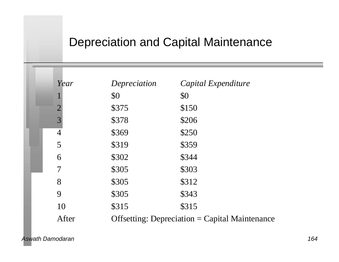### Depreciation and Capital Maintenance

| Year                     | Depreciation | Capital Expenditure                                   |
|--------------------------|--------------|-------------------------------------------------------|
|                          | \$0          | \$0                                                   |
| $\overline{2}$           | \$375        | \$150                                                 |
| 3                        | \$378        | \$206                                                 |
| $\overline{4}$           | \$369        | \$250                                                 |
| 5                        | \$319        | \$359                                                 |
| 6                        | \$302        | \$344                                                 |
| $\overline{\mathcal{I}}$ | \$305        | \$303                                                 |
| 8                        | \$305        | \$312                                                 |
| 9                        | \$305        | \$343                                                 |
| 10                       | \$315        | \$315                                                 |
| After                    |              | <b>Offsetting: Depreciation = Capital Maintenance</b> |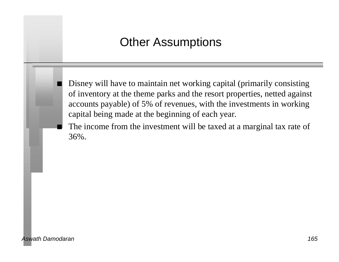### Other Assumptions

Disney will have to maintain net working capital (primarily consisting of inventory at the theme parks and the resort properties, netted against accounts payable) of 5% of revenues, with the investments in working capital being made at the beginning of each year.

The income from the investment will be taxed at a marginal tax rate of 36%.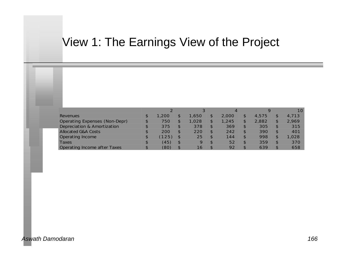### View 1: The Earnings View of the Project

|                                     |    |       | ာ           | 4     | $\circ$ |               | 10    |
|-------------------------------------|----|-------|-------------|-------|---------|---------------|-------|
| <b>Revenues</b>                     | Ð  | 1,200 | 1,650.      | 2,000 | 4,575   |               | 4.713 |
| Operating Expenses (Non-Depr)       |    | 750   | 1,028       | 1,245 | 2.882   |               | 2.969 |
| Depreciation & Amortization         |    | 375   | 378         | 369   | 305     | $\mathcal{F}$ | 315   |
| <b>Allocated G&amp;A Costs</b>      |    | 200   | 220         | 242   | 390     | $\mathcal{F}$ | 401   |
| <b>Operating Income</b>             |    | 125)  | 25          | 144   | 998     | $\mathcal{S}$ | 1.028 |
| Taxes                               |    | (45)  | $\mathbf Q$ | 52    | 359     | ¢             | 370   |
| <b>Operating Income after Taxes</b> | ۰D | (80)  | 16          | 92    | 639     | $\mathcal{S}$ | 658   |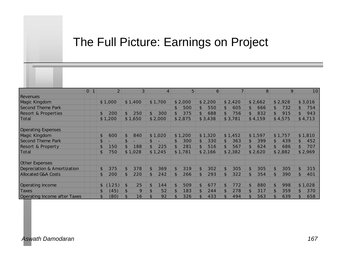### The Full Picture: Earnings on Project

|                                     | O 1 | $\overline{2}$         | 3 <sup>1</sup>        | 4                     | 5 <sup>1</sup>        | 6                     |                       | 8                     | 9                     | 10                    |
|-------------------------------------|-----|------------------------|-----------------------|-----------------------|-----------------------|-----------------------|-----------------------|-----------------------|-----------------------|-----------------------|
| <b>Revenues</b>                     |     |                        |                       |                       |                       |                       |                       |                       |                       |                       |
| <b>Magic Kingdom</b>                |     | \$1,000                | \$1,400               | \$1,700               | \$2,000               | \$2,200               | \$2,420               | \$2,662               | \$2,928               | \$3,016               |
| <b>Second Theme Park</b>            |     |                        |                       |                       | $\mathfrak{P}$<br>500 | $\mathfrak{P}$<br>550 | $\mathfrak{P}$<br>605 | \$<br>666             | \$<br>732             | $\mathcal{S}$<br>754  |
| <b>Resort &amp; Properties</b>      |     | 200<br>\$              | $\mathfrak{L}$<br>250 | 300<br>$\mathfrak{L}$ | \$<br>375             | \$.<br>688            | $\mathcal{S}$<br>756  | $\mathfrak{L}$<br>832 | $\mathfrak{L}$<br>915 | $\mathfrak{L}$<br>943 |
| Total                               |     | \$1,200                | \$1,650               | \$2,000               | \$2,875               | \$3,438               | \$3,781               | \$4,159               | \$4,575               | \$4,713               |
|                                     |     |                        |                       |                       |                       |                       |                       |                       |                       |                       |
| <b>Operating Expenses</b>           |     |                        |                       |                       |                       |                       |                       |                       |                       |                       |
| Magic Kingdom                       |     | \$<br>600              | $\mathfrak{L}$<br>840 | \$1,020               | \$1,200               | \$1,320               | \$1,452               | \$1,597               | \$1,757               | \$1,810               |
| <b>Second Theme Park</b>            |     | \$                     | $\mathfrak{P}$        | \$.                   | 300<br>\$             | 330<br>\$             | 363<br>\$             | \$<br>399             | \$<br>439             | $\mathfrak{L}$<br>452 |
| <b>Resort &amp; Property</b>        |     | \$<br>150              | 188                   | 225                   | 281<br>\$.            | \$<br>516             | $\mathfrak{L}$<br>567 | $\mathfrak{L}$<br>624 | $\mathfrak{L}$<br>686 | 707<br>\$.            |
| Total                               |     | \$<br>750              | \$1,028               | \$1,245               | \$1,781               | \$2,166               | \$2,382               | \$2,620               | \$2,882               | \$2,969               |
|                                     |     |                        |                       |                       |                       |                       |                       |                       |                       |                       |
| <b>Other Expenses</b>               |     |                        |                       |                       |                       |                       |                       |                       |                       |                       |
| Depreciation & Amortization         |     | \$<br>375              | $\mathfrak{L}$<br>378 | $\mathfrak{L}$<br>369 | $\mathfrak{L}$<br>319 | 302<br>\$             | 305<br>\$             | $\mathfrak{L}$<br>305 | $\mathfrak{L}$<br>305 | 315                   |
| <b>Allocated G&amp;A Costs</b>      |     | \$<br>200              | $\mathfrak{L}$<br>220 | \$.<br>242            | $\mathfrak{L}$<br>266 | 293<br>\$             | \$<br>322             | $\mathfrak{L}$<br>354 | 390<br>$\mathfrak{L}$ | \$.<br>401            |
|                                     |     |                        |                       |                       |                       |                       |                       |                       |                       |                       |
| <b>Operating Income</b>             |     | 125)<br>\$             | 25<br>\$              | \$<br>144             | \$<br>509             | 677<br>\$             | 772<br>\$             | \$<br>880             | $\mathfrak{L}$<br>998 | \$1,028               |
| <b>Taxes</b>                        |     | $\mathfrak{L}$<br>(45) | $\mathfrak{P}$<br>9   | 52<br>\$              | 183<br>\$             | \$<br>244             | 278<br>\$             | $\mathfrak{L}$<br>317 | 359                   | \$.<br>370            |
| <b>Operating Income after Taxes</b> |     | \$<br>(80)             | $\mathcal{S}$<br>16   | 92                    | 326                   | 433                   | 494<br>\$.            | $\mathfrak{L}$<br>563 | 639                   | 658                   |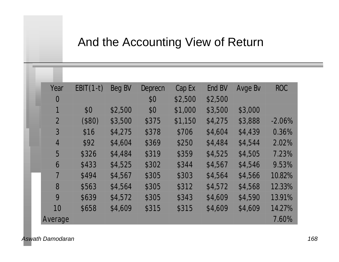### And the Accounting View of Return

| Year           | $EBIT(1-t)$ | Beg BV  | Deprecn | Cap Ex  | End BV  | Avge Bv | <b>ROC</b> |
|----------------|-------------|---------|---------|---------|---------|---------|------------|
| $\overline{0}$ |             |         | \$0     | \$2,500 | \$2,500 |         |            |
|                | \$0         | \$2,500 | \$0     | \$1,000 | \$3,500 | \$3,000 |            |
| $\overline{2}$ | (\$80)      | \$3,500 | \$375   | \$1,150 | \$4,275 | \$3,888 | $-2.06%$   |
| 3              | \$16        | \$4,275 | \$378   | \$706   | \$4,604 | \$4,439 | 0.36%      |
| $\overline{4}$ | \$92        | \$4,604 | \$369   | \$250   | \$4,484 | \$4,544 | 2.02%      |
| 5              | \$326       | \$4,484 | \$319   | \$359   | \$4,525 | \$4,505 | 7.23%      |
| 6              | \$433       | \$4,525 | \$302   | \$344   | \$4,567 | \$4,546 | 9.53%      |
| $\overline{7}$ | \$494       | \$4,567 | \$305   | \$303   | \$4,564 | \$4,566 | 10.82%     |
| 8              | \$563       | \$4,564 | \$305   | \$312   | \$4,572 | \$4,568 | 12.33%     |
| 9              | \$639       | \$4,572 | \$305   | \$343   | \$4,609 | \$4,590 | 13.91%     |
| 10             | \$658       | \$4,609 | \$315   | \$315   | \$4,609 | \$4,609 | 14.27%     |
| Average        |             |         |         |         |         |         | 7.60%      |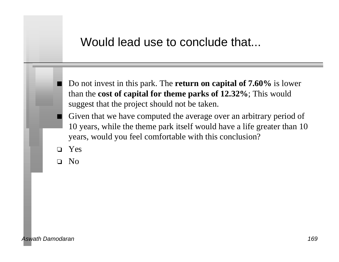#### Would lead use to conclude that...

- n Do not invest in this park. The **return on capital of 7.60%** is lower than the **cost of capital for theme parks of 12.32%**; This would suggest that the project should not be taken.
- Given that we have computed the average over an arbitrary period of 10 years, while the theme park itself would have a life greater than 10 years, would you feel comfortable with this conclusion?
- o Yes
- o No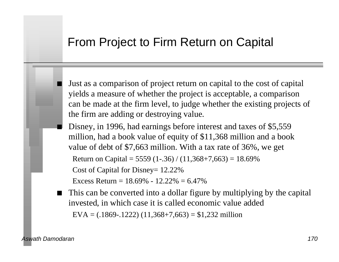#### From Project to Firm Return on Capital

- Just as a comparison of project return on capital to the cost of capital yields a measure of whether the project is acceptable, a comparison can be made at the firm level, to judge whether the existing projects of the firm are adding or destroying value.
- Disney, in 1996, had earnings before interest and taxes of \$5,559 million, had a book value of equity of \$11,368 million and a book value of debt of \$7,663 million. With a tax rate of 36%, we get

```
Return on Capital = 5559 (1-.36) / (11,368+7,663) = 18.69%
```
Cost of Capital for Disney= 12.22%

Excess Return =  $18.69\% - 12.22\% = 6.47\%$ 

■ This can be converted into a dollar figure by multiplying by the capital invested, in which case it is called economic value added EVA =  $(.1869 - .1222)$   $(11,368 + 7,663) = $1,232$  million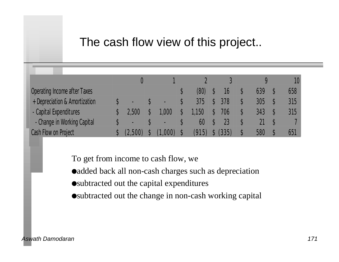### The cash flow view of this project..

|                               |                |                |       |       |     | 10  |
|-------------------------------|----------------|----------------|-------|-------|-----|-----|
| Operating Income after Taxes  |                |                | (80)  | 16    | 639 | 658 |
| + Depreciation & Amortization |                | ▬              | 375   | 378   | 305 | 315 |
| - Capital Expenditures        | 2,500          | 1,000          | 1,150 | 706   | 343 | 315 |
| - Change in Working Capital   | $\blacksquare$ | $\blacksquare$ | 60    | 23    |     |     |
| Cash Flow on Project          |                |                | (915) | (335) | 580 | 651 |

To get from income to cash flow, we

- added back all non-cash charges such as depreciation
- $\bullet$ subtracted out the capital expenditures
- ●subtracted out the change in non-cash working capital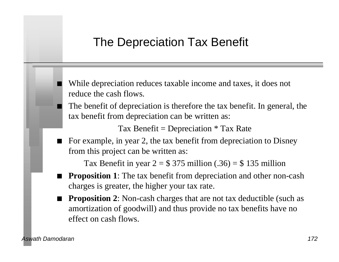### The Depreciation Tax Benefit

While depreciation reduces taxable income and taxes, it does not reduce the cash flows.

The benefit of depreciation is therefore the tax benefit. In general, the tax benefit from depreciation can be written as:

Tax Benefit = Depreciation  $*$  Tax Rate

For example, in year 2, the tax benefit from depreciation to Disney from this project can be written as:

Tax Benefit in year  $2 = $375$  million (.36) = \$135 million

- **Proposition 1**: The tax benefit from depreciation and other non-cash charges is greater, the higher your tax rate.
- **Proposition 2**: Non-cash charges that are not tax deductible (such as amortization of goodwill) and thus provide no tax benefits have no effect on cash flows.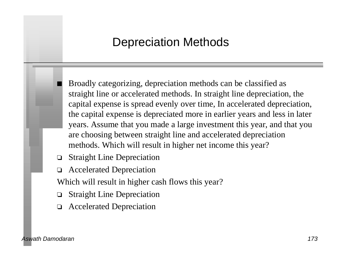### Depreciation Methods

n Broadly categorizing, depreciation methods can be classified as straight line or accelerated methods. In straight line depreciation, the capital expense is spread evenly over time, In accelerated depreciation, the capital expense is depreciated more in earlier years and less in later years. Assume that you made a large investment this year, and that you are choosing between straight line and accelerated depreciation methods. Which will result in higher net income this year?

- o Straight Line Depreciation
- o Accelerated Depreciation

Which will result in higher cash flows this year?

- **Straight Line Depreciation**
- **Accelerated Depreciation**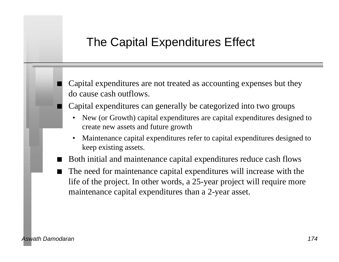### The Capital Expenditures Effect

Capital expenditures are not treated as accounting expenses but they do cause cash outflows.

- n Capital expenditures can generally be categorized into two groups
	- New (or Growth) capital expenditures are capital expenditures designed to create new assets and future growth
	- Maintenance capital expenditures refer to capital expenditures designed to keep existing assets.
- Both initial and maintenance capital expenditures reduce cash flows
- The need for maintenance capital expenditures will increase with the life of the project. In other words, a 25-year project will require more maintenance capital expenditures than a 2-year asset.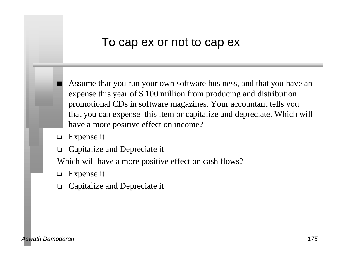#### To cap ex or not to cap ex

Assume that you run your own software business, and that you have an expense this year of \$ 100 million from producing and distribution promotional CDs in software magazines. Your accountant tells you that you can expense this item or capitalize and depreciate. Which will have a more positive effect on income?

- $\Box$  Expense it
- $\Box$  Capitalize and Depreciate it

Which will have a more positive effect on cash flows?

- $\Box$  Expense it
- Capitalize and Depreciate it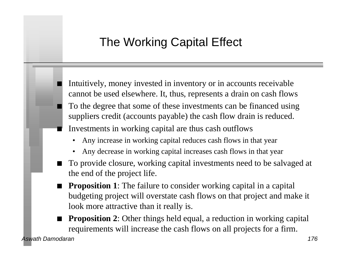### The Working Capital Effect

Intuitively, money invested in inventory or in accounts receivable cannot be used elsewhere. It, thus, represents a drain on cash flows To the degree that some of these investments can be financed using suppliers credit (accounts payable) the cash flow drain is reduced. Investments in working capital are thus cash outflows

- Any increase in working capital reduces cash flows in that year
- Any decrease in working capital increases cash flows in that year
- To provide closure, working capital investments need to be salvaged at the end of the project life.
- **Proposition 1**: The failure to consider working capital in a capital budgeting project will overstate cash flows on that project and make it look more attractive than it really is.
- **Proposition 2**: Other things held equal, a reduction in working capital requirements will increase the cash flows on all projects for a firm.

*Aswath Damodaran 176*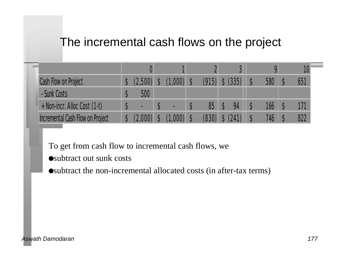### The incremental cash flows on the project

| Cash Flow on Project             |     | $(1.000)$ . | (915) | (335) | 580 | 651 |
|----------------------------------|-----|-------------|-------|-------|-----|-----|
| - Sunk Costs                     | 500 |             |       |       |     |     |
| + Non-incr. Alloc Cost (1-t)     | -   |             | 85    | 94    | 166 |     |
| Incremental Cash Flow on Project |     |             |       |       | 746 | 822 |

To get from cash flow to incremental cash flows, we

 $\bullet$ subtract out sunk costs

 $\bullet$ subtract the non-incremental allocated costs (in after-tax terms)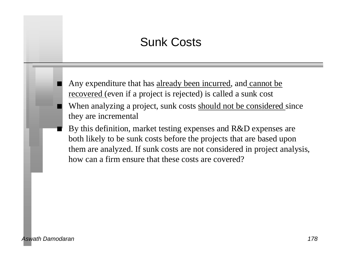### Sunk Costs

Any expenditure that has already been incurred, and cannot be recovered (even if a project is rejected) is called a sunk cost When analyzing a project, sunk costs should not be considered since they are incremental

By this definition, market testing expenses and R&D expenses are both likely to be sunk costs before the projects that are based upon them are analyzed. If sunk costs are not considered in project analysis, how can a firm ensure that these costs are covered?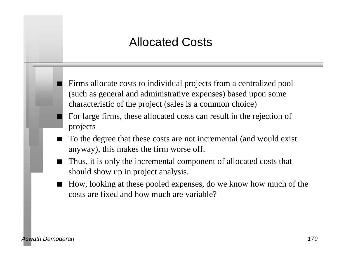### Allocated Costs

Firms allocate costs to individual projects from a centralized pool (such as general and administrative expenses) based upon some characteristic of the project (sales is a common choice)

- For large firms, these allocated costs can result in the rejection of projects
- To the degree that these costs are not incremental (and would exist anyway), this makes the firm worse off.
- Thus, it is only the incremental component of allocated costs that should show up in project analysis.
- n How, looking at these pooled expenses, do we know how much of the costs are fixed and how much are variable?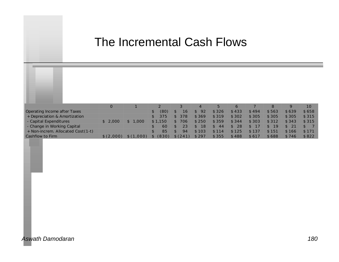### The Incremental Cash Flows

|                                   |           |       |         |         |       | 5.    | $\sigma$ |       |       | Q     | 10    |
|-----------------------------------|-----------|-------|---------|---------|-------|-------|----------|-------|-------|-------|-------|
| Operating Income after Taxes      |           |       | (80)    | 16      | 92    | \$326 | \$433    | \$494 | \$563 | \$639 | \$658 |
| + Depreciation & Amortization     |           |       | 375     | 378     | \$369 | \$319 | \$302    | \$305 | \$305 | \$305 | \$315 |
| - Capital Expenditures            | 2,000     | 1.000 | \$1.150 | 706     | \$250 | \$359 | \$344    | \$303 | \$312 | \$343 | \$315 |
| - Change in Working Capital       |           |       | 60      |         | 18    | 44    | 28       |       | 19    |       |       |
| + Non-increm. Allocated Cost(1-t) |           |       | 85      | 94      | \$103 | \$114 | \$125    | \$137 | \$151 | \$166 | \$171 |
| Cashflow to Firm                  | \$(2,000) | ,000) | (830)   | \$(241) | \$297 | \$355 | \$488    | \$617 | \$688 | \$746 | \$822 |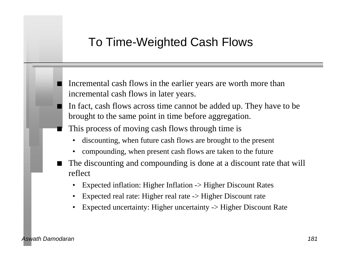#### To Time-Weighted Cash Flows

Incremental cash flows in the earlier years are worth more than incremental cash flows in later years.

- n In fact, cash flows across time cannot be added up. They have to be brought to the same point in time before aggregation.
- This process of moving cash flows through time is
	- discounting, when future cash flows are brought to the present
	- compounding, when present cash flows are taken to the future
- The discounting and compounding is done at a discount rate that will reflect
	- Expected inflation: Higher Inflation -> Higher Discount Rates
	- Expected real rate: Higher real rate -> Higher Discount rate
	- Expected uncertainty: Higher uncertainty -> Higher Discount Rate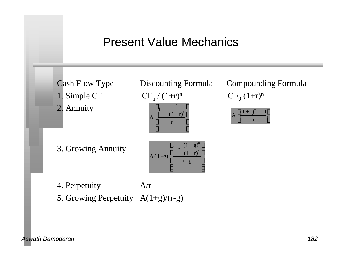### Present Value Mechanics

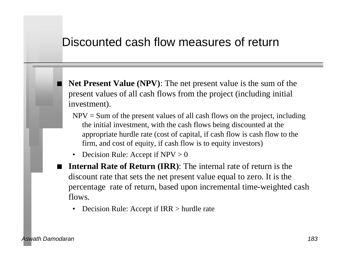#### Discounted cash flow measures of return

Net Present Value (NPV): The net present value is the sum of the present values of all cash flows from the project (including initial investment).

- $NPV = Sum$  of the present values of all cash flows on the project, including the initial investment, with the cash flows being discounted at the appropriate hurdle rate (cost of capital, if cash flow is cash flow to the firm, and cost of equity, if cash flow is to equity investors)
- Decision Rule: Accept if  $NPV > 0$
- **Internal Rate of Return (IRR):** The internal rate of return is the discount rate that sets the net present value equal to zero. It is the percentage rate of return, based upon incremental time-weighted cash flows.
	- Decision Rule: Accept if IRR > hurdle rate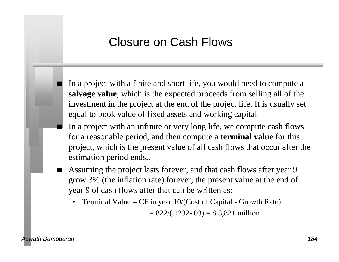#### Closure on Cash Flows

n In a project with a finite and short life, you would need to compute a **salvage value**, which is the expected proceeds from selling all of the investment in the project at the end of the project life. It is usually set equal to book value of fixed assets and working capital

- n In a project with an infinite or very long life, we compute cash flows for a reasonable period, and then compute a **terminal value** for this project, which is the present value of all cash flows that occur after the estimation period ends..
- Assuming the project lasts forever, and that cash flows after year 9 grow 3% (the inflation rate) forever, the present value at the end of year 9 of cash flows after that can be written as:
	- Terminal Value =  $CF$  in year  $10/(Cost of Capital Growth Rate)$

 $= 822/(0.1232-0.03) = $8,821$  million

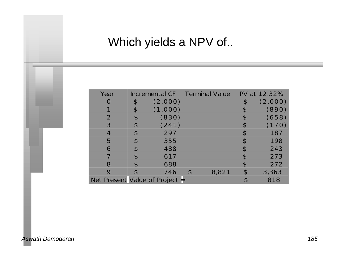### Which yields a NPV of..

| Year                             | Incremental CF | <b>Terminal Value</b> |                | PV at 12.32% |
|----------------------------------|----------------|-----------------------|----------------|--------------|
|                                  | \$<br>(2,000)  |                       | \$             | (2,000)      |
|                                  | \$<br>(1,000)  |                       | \$             | (890)        |
| 2                                | \$<br>(830)    |                       | \$             | (658)        |
| 3                                | \$<br>(241)    |                       | \$             | (170)        |
| $\overline{4}$                   | \$<br>297      |                       | $\mathcal{R}$  | 187          |
| 5                                | \$<br>355      |                       | $\mathcal{P}$  | 198          |
| 6                                | \$<br>488      |                       | $\mathcal{P}$  | 243          |
|                                  | \$<br>617      |                       | $\mathfrak{P}$ | 273          |
| 8                                | \$<br>688      |                       | $\mathcal{P}$  | 272          |
| 9                                | 746            | \$<br>8,821           | \$             | 3,363        |
| Net Present Value of Project $=$ |                |                       |                | 818          |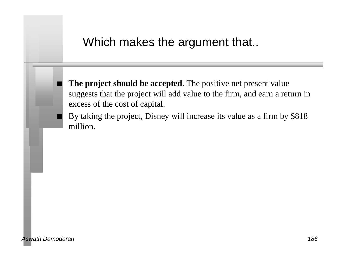#### Which makes the argument that..

The project should be accepted. The positive net present value suggests that the project will add value to the firm, and earn a return in excess of the cost of capital.

By taking the project, Disney will increase its value as a firm by \$818 million.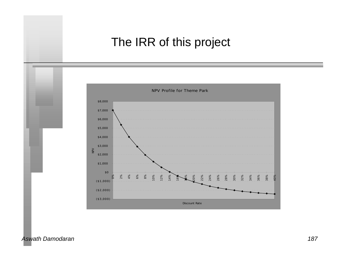### The IRR of this project



*Aswath Damodaran 187*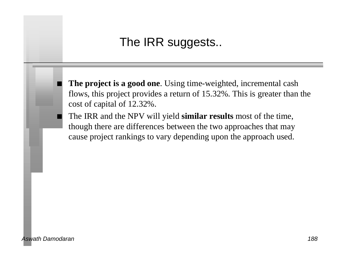### The IRR suggests..

The project is a good one. Using time-weighted, incremental cash flows, this project provides a return of 15.32%. This is greater than the cost of capital of 12.32%.

n The IRR and the NPV will yield **similar results** most of the time, though there are differences between the two approaches that may cause project rankings to vary depending upon the approach used.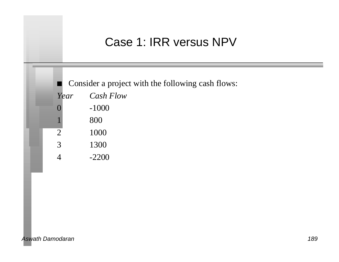### Case 1: IRR versus NPV

■ Consider a project with the following cash flows: *Year Cash Flow* 0 -1000 1 800  $\overline{2}$  1000 3 1300 4 -2200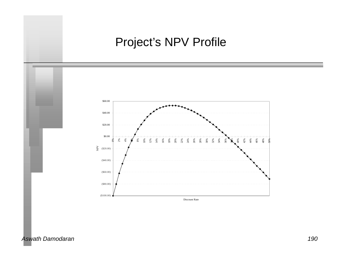### Project's NPV Profile



*Aswath Damodaran 190*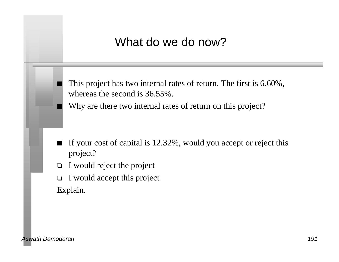### What do we do now?

This project has two internal rates of return. The first is 6.60%, whereas the second is 36.55%.

Why are there two internal rates of return on this project?

- If your cost of capital is 12.32%, would you accept or reject this project?
- $\Box$  I would reject the project
- $\Box$  I would accept this project Explain.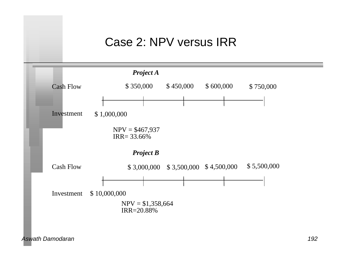#### Case 2: NPV versus IRR

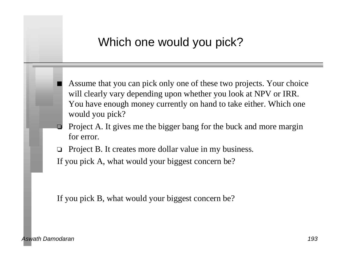### Which one would you pick?

Assume that you can pick only one of these two projects. Your choice will clearly vary depending upon whether you look at NPV or IRR. You have enough money currently on hand to take either. Which one would you pick?

- Project A. It gives me the bigger bang for the buck and more margin for error.
- $\Box$  Project B. It creates more dollar value in my business.

If you pick A, what would your biggest concern be?

If you pick B, what would your biggest concern be?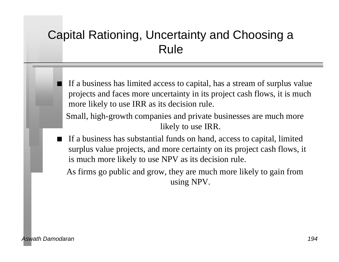### Capital Rationing, Uncertainty and Choosing a Rule

- If a business has limited access to capital, has a stream of surplus value projects and faces more uncertainty in its project cash flows, it is much more likely to use IRR as its decision rule.
- Small, high-growth companies and private businesses are much more likely to use IRR.
- If a business has substantial funds on hand, access to capital, limited surplus value projects, and more certainty on its project cash flows, it is much more likely to use NPV as its decision rule.

As firms go public and grow, they are much more likely to gain from using NPV.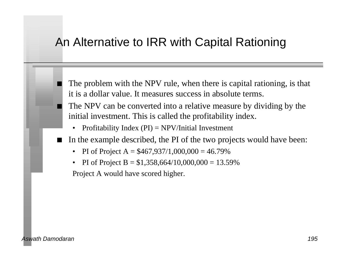### An Alternative to IRR with Capital Rationing

- The problem with the NPV rule, when there is capital rationing, is that it is a dollar value. It measures success in absolute terms.
- The NPV can be converted into a relative measure by dividing by the initial investment. This is called the profitability index.
	- Profitability Index  $(PI) = NPV/Initial Investment$
- n In the example described, the PI of the two projects would have been:
	- PI of Project A =  $$467,937/1,000,000 = 46.79\%$
	- PI of Project B =  $$1,358,664/10,000,000 = 13.59\%$

Project A would have scored higher.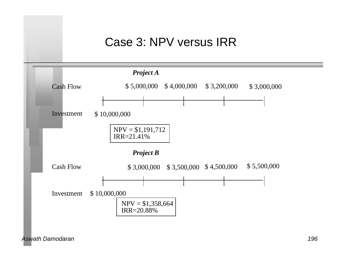### Case 3: NPV versus IRR

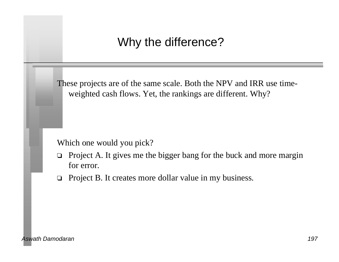### Why the difference?

These projects are of the same scale. Both the NPV and IRR use timeweighted cash flows. Yet, the rankings are different. Why?

Which one would you pick?

- $\Box$  Project A. It gives me the bigger bang for the buck and more margin for error.
- $\Box$  Project B. It creates more dollar value in my business.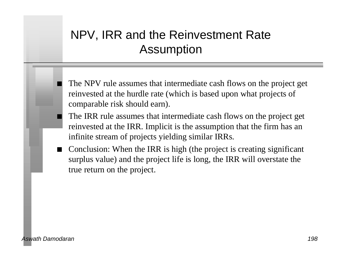### NPV, IRR and the Reinvestment Rate Assumption

- The NPV rule assumes that intermediate cash flows on the project get reinvested at the hurdle rate (which is based upon what projects of comparable risk should earn).
- The IRR rule assumes that intermediate cash flows on the project get reinvested at the IRR. Implicit is the assumption that the firm has an infinite stream of projects yielding similar IRRs.
- Conclusion: When the IRR is high (the project is creating significant surplus value) and the project life is long, the IRR will overstate the true return on the project.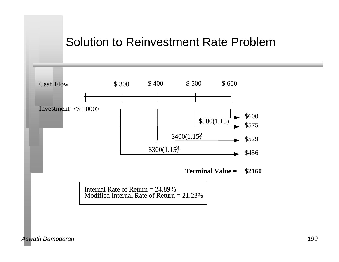#### Solution to Reinvestment Rate Problem

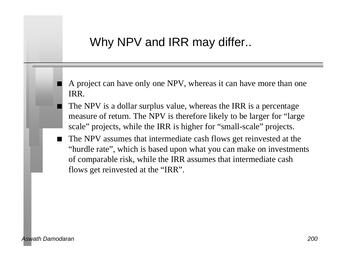### Why NPV and IRR may differ..

A project can have only one NPV, whereas it can have more than one IRR.

- The NPV is a dollar surplus value, whereas the IRR is a percentage measure of return. The NPV is therefore likely to be larger for "large scale" projects, while the IRR is higher for "small-scale" projects.
- The NPV assumes that intermediate cash flows get reinvested at the "hurdle rate", which is based upon what you can make on investments of comparable risk, while the IRR assumes that intermediate cash flows get reinvested at the "IRR".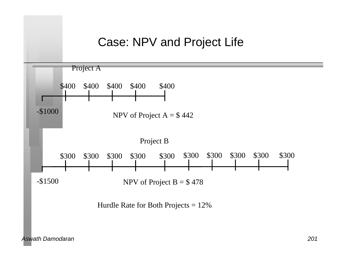#### Case: NPV and Project Life

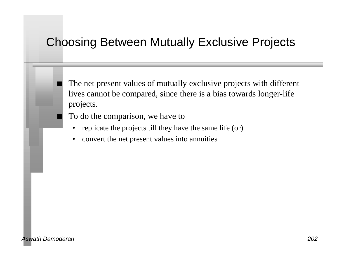### Choosing Between Mutually Exclusive Projects

The net present values of mutually exclusive projects with different lives cannot be compared, since there is a bias towards longer-life projects.

To do the comparison, we have to

- replicate the projects till they have the same life (or)
- convert the net present values into annuities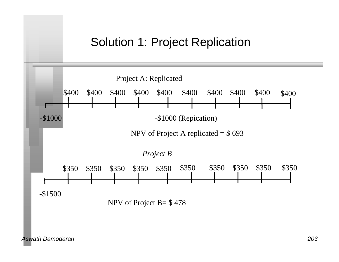### Solution 1: Project Replication

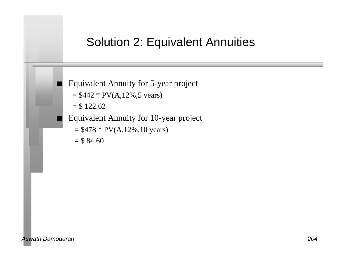#### Solution 2: Equivalent Annuities

Equivalent Annuity for 5-year project

 $= $442 * PV(A, 12%, 5 \text{ years})$ 

 $= $ 122.62$ 

- n Equivalent Annuity for 10-year project
	- $= $478 * PV(A, 12%, 10 years)$
	- $=$  \$ 84.60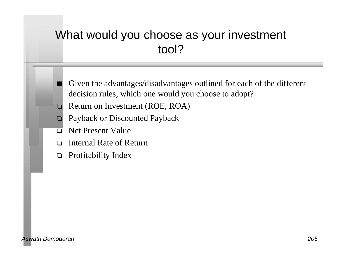### What would you choose as your investment tool?

- Given the advantages/disadvantages outlined for each of the different decision rules, which one would you choose to adopt?
- $\Box$  Return on Investment (ROE, ROA)
- **D** Payback or Discounted Payback
- $\Box$  Net Present Value
- □ Internal Rate of Return
- $\Box$  Profitability Index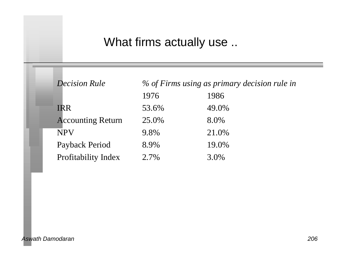### What firms actually use ..

| <b>Decision Rule</b>     |       | % of Firms using as primary decision rule in |
|--------------------------|-------|----------------------------------------------|
|                          | 1976  | 1986                                         |
| <b>IRR</b>               | 53.6% | 49.0%                                        |
| <b>Accounting Return</b> | 25.0% | 8.0%                                         |
| <b>NPV</b>               | 9.8%  | 21.0%                                        |
| Payback Period           | 8.9%  | 19.0%                                        |
| Profitability Index      | 2.7%  | 3.0%                                         |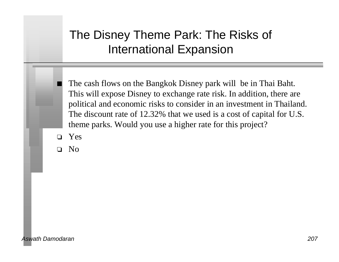### The Disney Theme Park: The Risks of International Expansion

The cash flows on the Bangkok Disney park will be in Thai Baht. This will expose Disney to exchange rate risk. In addition, there are political and economic risks to consider in an investment in Thailand. The discount rate of 12.32% that we used is a cost of capital for U.S. theme parks. Would you use a higher rate for this project?

- o Yes
- o No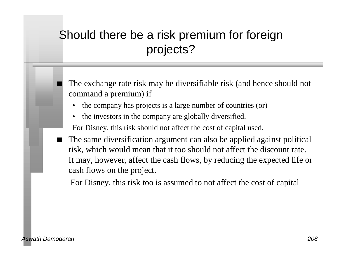## Should there be a risk premium for foreign projects?

The exchange rate risk may be diversifiable risk (and hence should not command a premium) if

- the company has projects is a large number of countries (or)
- the investors in the company are globally diversified.

For Disney, this risk should not affect the cost of capital used.

The same diversification argument can also be applied against political risk, which would mean that it too should not affect the discount rate. It may, however, affect the cash flows, by reducing the expected life or cash flows on the project.

For Disney, this risk too is assumed to not affect the cost of capital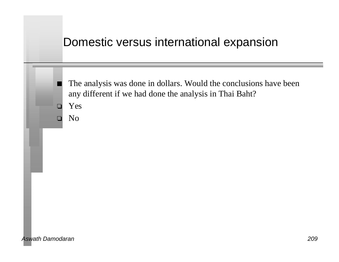#### Domestic versus international expansion

The analysis was done in dollars. Would the conclusions have been any different if we had done the analysis in Thai Baht?

o Yes

 $\Box$  No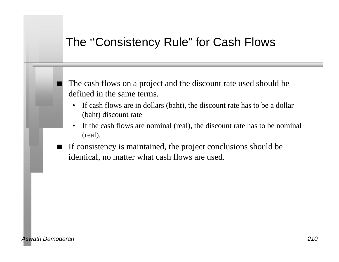### The ''Consistency Rule" for Cash Flows

The cash flows on a project and the discount rate used should be defined in the same terms.

- If cash flows are in dollars (baht), the discount rate has to be a dollar (baht) discount rate
- If the cash flows are nominal (real), the discount rate has to be nominal (real).
- If consistency is maintained, the project conclusions should be identical, no matter what cash flows are used.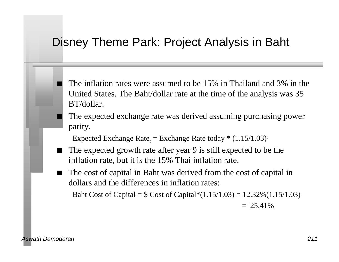#### Disney Theme Park: Project Analysis in Baht

- n The inflation rates were assumed to be 15% in Thailand and 3% in the United States. The Baht/dollar rate at the time of the analysis was 35 BT/dollar.
- The expected exchange rate was derived assuming purchasing power parity.

Expected Exchange Rate<sub>t</sub> = Exchange Rate today  $*(1.15/1.03)^t$ 

- The expected growth rate after year 9 is still expected to be the inflation rate, but it is the 15% Thai inflation rate.
- The cost of capital in Baht was derived from the cost of capital in dollars and the differences in inflation rates:

Baht Cost of Capital =  $\text{\$Cost of Capital*}(1.15/1.03) = 12.32\%(1.15/1.03)$ 

 $= 25.41\%$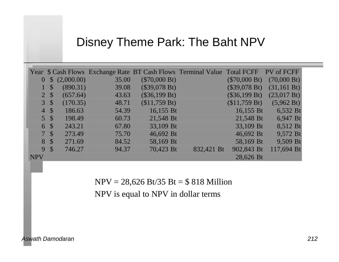#### Disney Theme Park: The Baht NPV

|                  |                 |            |       |                 | Year \$ Cash Flows Exchange Rate BT Cash Flows Terminal Value Total FCFF |                 | PV of FCFF            |
|------------------|-----------------|------------|-------|-----------------|--------------------------------------------------------------------------|-----------------|-----------------------|
| $\bf{0}$         | $\mathcal{S}$   | (2,000.00) | 35.00 | $(\$70,000 Bt)$ |                                                                          | $(\$70,000 Bt)$ | $(70,000 \text{ Bt})$ |
|                  | S               | (890.31)   | 39.08 | (\$39,078 Bt)   |                                                                          | $(\$39,078 Bt)$ | (31, 161 Bt)          |
|                  | 2S              | (657.64)   | 43.63 | (\$36,199 Bt)   |                                                                          | $(\$36,199 Bt)$ | $(23,017 \text{ Bt})$ |
|                  | $3 \text{ }$ \$ | (170.35)   | 48.71 | (\$11,759 Bt)   |                                                                          | \$11,759 Bt)    | $(5,962 \text{ Bt})$  |
| $\left 4\right $ | <sup>S</sup>    | 186.63     | 54.39 | 16,155 Bt       |                                                                          | 16,155 Bt       | 6,532 Bt              |
| 5 <sup>1</sup>   | <sup>S</sup>    | 198.49     | 60.73 | 21,548 Bt       |                                                                          | 21,548 Bt       | 6,947 Bt              |
| 6                | <sup>S</sup>    | 243.21     | 67.80 | 33,109 Bt       |                                                                          | 33,109 Bt       | 8,512 Bt              |
| 7 <sup>1</sup>   | $\mathcal{S}$   | 273.49     | 75.70 | 46,692 Bt       |                                                                          | 46,692 Bt       | 9,572 Bt              |
| 8                | $\mathcal{S}$   | 271.69     | 84.52 | 58,169 Bt       |                                                                          | 58,169 Bt       | 9,509 Bt              |
| 9                | <sup>S</sup>    | 746.27     | 94.37 | 70,423 Bt       | 832,421 Bt                                                               | 902,843 Bt      | 117,694 Bt            |
| <b>NPV</b>       |                 |            |       |                 |                                                                          | 28,626 Bt       |                       |

NPV = 28,626 Bt/35 Bt = \$ 818 Million

NPV is equal to NPV in dollar terms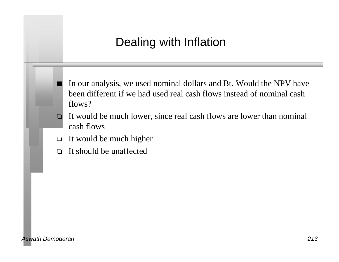### Dealing with Inflation

- In our analysis, we used nominal dollars and Bt. Would the NPV have been different if we had used real cash flows instead of nominal cash flows?
- $\Box$  It would be much lower, since real cash flows are lower than nominal cash flows
- $\Box$  It would be much higher
- $\Box$  It should be unaffected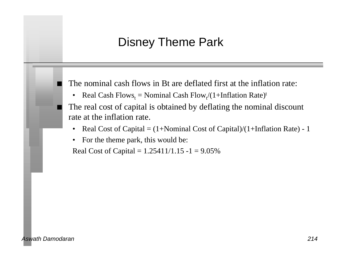### Disney Theme Park

The nominal cash flows in Bt are deflated first at the inflation rate:

• Real Cash  $Flows_t = Nominal Cash Flow_t/(1+Inflation Rate)^t$ 

The real cost of capital is obtained by deflating the nominal discount rate at the inflation rate.

- Real Cost of Capital  $=$  (1+Nominal Cost of Capital)/(1+Inflation Rate) 1
- For the theme park, this would be:

Real Cost of Capital =  $1.25411/1.15 - 1 = 9.05\%$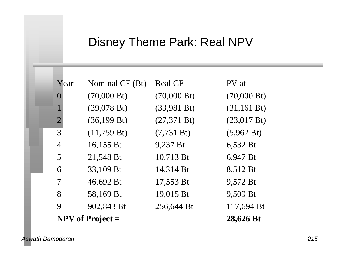### Disney Theme Park: Real NPV

| Year                      | Nominal CF (Bt)       | <b>Real CF</b>        | PV at                 |
|---------------------------|-----------------------|-----------------------|-----------------------|
| $\left( \right)$          | $(70,000 \text{ Bt})$ | $(70,000 \text{ Bt})$ | $(70,000 \text{ Bt})$ |
| $\mathbf 1$               | $(39,078 \text{ Bt})$ | (33,981 Bt)           | (31, 161 Bt)          |
| $\overline{2}$            | (36, 199 Bt)          | (27,371 Bt)           | $(23,017 \text{ Bt})$ |
| 3                         | (11,759 Bt)           | (7, 731 Bt)           | (5,962 Bt)            |
| $\overline{4}$            | 16,155 Bt             | 9,237 Bt              | 6,532 Bt              |
| 5                         | 21,548 Bt             | 10,713 Bt             | 6,947 Bt              |
| 6                         | 33,109 Bt             | 14,314 Bt             | 8,512 Bt              |
| 7                         | 46,692 Bt             | 17,553 Bt             | 9,572 Bt              |
| 8                         | 58,169 Bt             | 19,015 Bt             | 9,509 Bt              |
| 9                         | 902,843 Bt            | 256,644 Bt            | 117,694 Bt            |
| <b>NPV</b> of Project $=$ |                       | 28,626 Bt             |                       |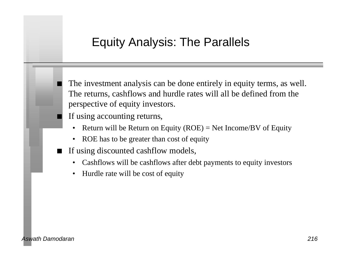#### Equity Analysis: The Parallels

The investment analysis can be done entirely in equity terms, as well. The returns, cashflows and hurdle rates will all be defined from the perspective of equity investors.

If using accounting returns,

- Return will be Return on Equity  $(ROE) = Net Income/BV$  of Equity
- ROE has to be greater than cost of equity
- If using discounted cashflow models,
	- Cashflows will be cashflows after debt payments to equity investors
	- Hurdle rate will be cost of equity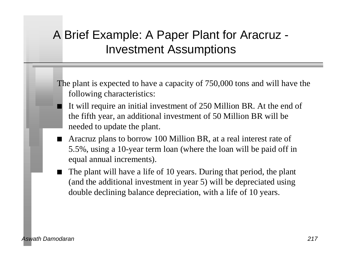### A Brief Example: A Paper Plant for Aracruz - Investment Assumptions

The plant is expected to have a capacity of 750,000 tons and will have the following characteristics:

- It will require an initial investment of 250 Million BR. At the end of the fifth year, an additional investment of 50 Million BR will be needed to update the plant.
- Aracruz plans to borrow 100 Million BR, at a real interest rate of 5.5%, using a 10-year term loan (where the loan will be paid off in equal annual increments).
- The plant will have a life of 10 years. During that period, the plant (and the additional investment in year 5) will be depreciated using double declining balance depreciation, with a life of 10 years.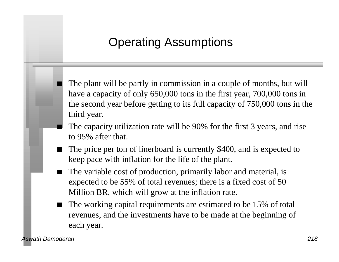### Operating Assumptions

The plant will be partly in commission in a couple of months, but will have a capacity of only 650,000 tons in the first year, 700,000 tons in the second year before getting to its full capacity of 750,000 tons in the third year.

- The capacity utilization rate will be 90% for the first 3 years, and rise to 95% after that.
- The price per ton of linerboard is currently \$400, and is expected to keep pace with inflation for the life of the plant.
- The variable cost of production, primarily labor and material, is expected to be 55% of total revenues; there is a fixed cost of 50 Million BR, which will grow at the inflation rate.
- The working capital requirements are estimated to be 15% of total revenues, and the investments have to be made at the beginning of each year.

*Aswath Damodaran 218*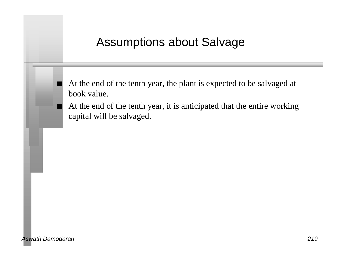### Assumptions about Salvage

At the end of the tenth year, the plant is expected to be salvaged at book value.

At the end of the tenth year, it is anticipated that the entire working capital will be salvaged.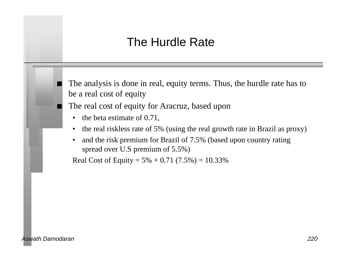### The Hurdle Rate

The analysis is done in real, equity terms. Thus, the hurdle rate has to be a real cost of equity

The real cost of equity for Aracruz, based upon

- the beta estimate of 0.71,
- the real riskless rate of 5% (using the real growth rate in Brazil as proxy)
- and the risk premium for Brazil of 7.5% (based upon country rating spread over U.S premium of 5.5%)

Real Cost of Equity =  $5\% + 0.71$  (7.5%) = 10.33%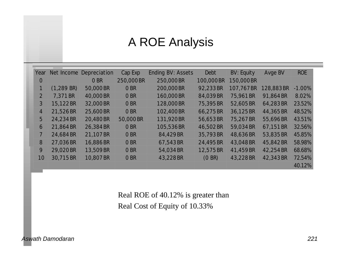### A ROE Analysis

| Year           | Net Income   | Depreciation | Cap Exp   | Ending BV: Assets | Debt       | <b>BV: Equity</b> | Avge BV   | <b>ROE</b> |
|----------------|--------------|--------------|-----------|-------------------|------------|-------------------|-----------|------------|
| $\overline{O}$ |              | O BR         | 250,000BR | 250,000BR         | 100,000 BR | 150,000BR         |           |            |
| $\mathbf{1}$   | $(1,289$ BR) | 50,000 BR    | O BR      | 200,000 BR        | 92,233 BR  | 107,767BR         | 128,883BR | $-1.00%$   |
| $\overline{2}$ | 7,371 BR     | 40,000 BR    | O BR      | 160,000BR         | 84,039 BR  | 75,961BR          | 91,864 BR | 8.02%      |
| $\mathfrak{Z}$ | 15,122BR     | 32,000 BR    | O BR      | 128,000BR         | 75,395 BR  | 52,605BR          | 64,283 BR | 23.52%     |
| $\overline{4}$ | 21,526BR     | 25,600 BR    | O BR      | 102,400BR         | 66,275 BR  | 36,125BR          | 44,365BR  | 48.52%     |
| 5              | 24,234 BR    | 20,480 BR    | 50,000 BR | 131,920BR         | 56,653BR   | 75,267BR          | 55,696BR  | 43.51%     |
| 6              | 21,864 BR    | 26,384 BR    | O BR      | 105,536BR         | 46,502 BR  | 59,034 BR         | 67,151 BR | 32.56%     |
| $\overline{7}$ | 24,684 BR    | 21,107 BR    | O BR      | 84,429 BR         | 35,793 BR  | 48,636BR          | 53,835 BR | 45.85%     |
| 8              | 27,036BR     | 16,886BR     | O BR      | 67,543 BR         | 24,495 BR  | 43,048BR          | 45,842BR  | 58.98%     |
| 9              | 29,020 BR    | 13,509 BR    | O BR      | 54,034 BR         | 12,575 BR  | 41,459BR          | 42,254 BR | 68.68%     |
| 10             | 30,715BR     | 10,807 BR    | O BR      | 43,228BR          | (0 BR)     | 43,228BR          | 42,343 BR | 72.54%     |
|                |              |              |           |                   |            |                   |           | 40.12%     |

Real ROE of 40.12% is greater than Real Cost of Equity of 10.33%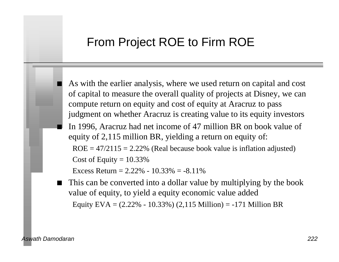#### From Project ROE to Firm ROE

As with the earlier analysis, where we used return on capital and cost of capital to measure the overall quality of projects at Disney, we can compute return on equity and cost of equity at Aracruz to pass judgment on whether Aracruz is creating value to its equity investors

n In 1996, Aracruz had net income of 47 million BR on book value of equity of 2,115 million BR, yielding a return on equity of:

 $ROE = 47/2115 = 2.22\%$  (Real because book value is inflation adjusted) Cost of Equity  $= 10.33\%$ 

Excess Return =  $2.22\% - 10.33\% = -8.11\%$ 

 $\blacksquare$  This can be converted into a dollar value by multiplying by the book value of equity, to yield a equity economic value added Equity  $EVA = (2.22\% - 10.33\%)$  (2,115 Million) = -171 Million BR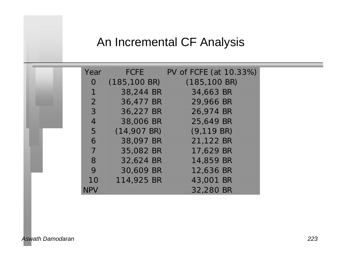### An Incremental CF Analysis

| Year           | <b>FCFE</b>              | PV of FCFE (at 10.33%)   |
|----------------|--------------------------|--------------------------|
| $\Omega$       | $(185, 100 \,\text{BR})$ | $(185, 100 \,\text{BR})$ |
| $\mathbf 1$    | 38,244 BR                | 34,663 BR                |
| 2              | 36,477 BR                | 29,966 BR                |
| $\mathcal{S}$  | 36,227 BR                | 26,974 BR                |
| $\overline{4}$ | 38,006 BR                | 25,649 BR                |
| 5              | $(14,907$ BR)            | $(9, 119$ BR)            |
| 6              | 38,097 BR                | 21,122 BR                |
| $\overline{7}$ | 35,082 BR                | 17,629 BR                |
| 8              | 32,624 BR                | 14,859 BR                |
| 9              | 30,609 BR                | 12,636 BR                |
| 10             | 114,925 BR               | 43,001 BR                |
| <b>NPV</b>     |                          | 32,280 BR                |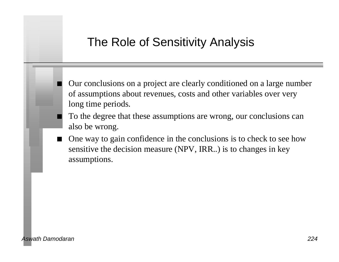### The Role of Sensitivity Analysis

n Our conclusions on a project are clearly conditioned on a large number of assumptions about revenues, costs and other variables over very long time periods.

- To the degree that these assumptions are wrong, our conclusions can also be wrong.
- $\blacksquare$  One way to gain confidence in the conclusions is to check to see how sensitive the decision measure (NPV, IRR..) is to changes in key assumptions.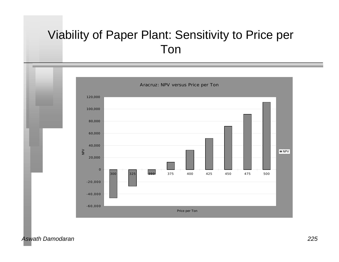### Viability of Paper Plant: Sensitivity to Price per Ton



*Aswath Damodaran 225*